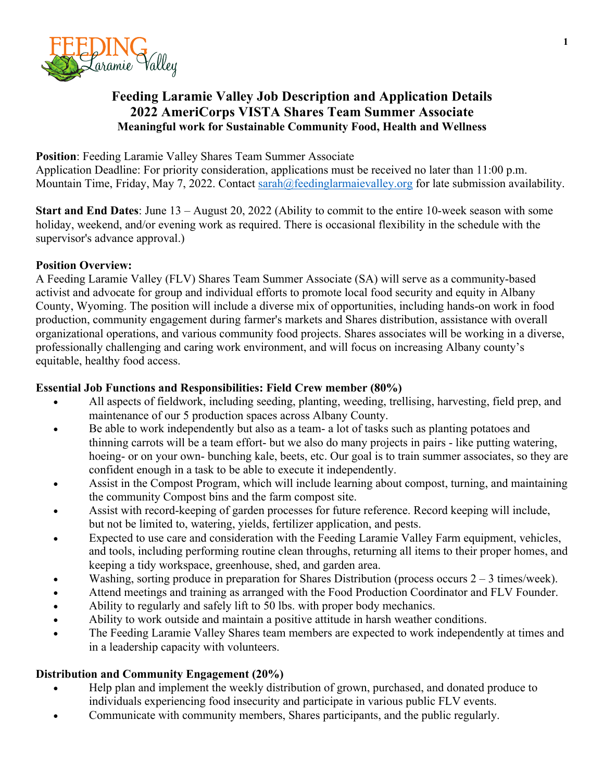

# **Feeding Laramie Valley Job Description and Application Details 2022 AmeriCorps VISTA Shares Team Summer Associate Meaningful work for Sustainable Community Food, Health and Wellness**

**Position**: Feeding Laramie Valley Shares Team Summer Associate

Application Deadline: For priority consideration, applications must be received no later than 11:00 p.m. Mountain Time, Friday, May 7, 2022. Contact sarah@feedinglarmaievalley.org for late submission availability.

**Start and End Dates**: June 13 – August 20, 2022 (Ability to commit to the entire 10-week season with some holiday, weekend, and/or evening work as required. There is occasional flexibility in the schedule with the supervisor's advance approval.)

## **Position Overview:**

A Feeding Laramie Valley (FLV) Shares Team Summer Associate (SA) will serve as a community-based activist and advocate for group and individual efforts to promote local food security and equity in Albany County, Wyoming. The position will include a diverse mix of opportunities, including hands-on work in food production, community engagement during farmer's markets and Shares distribution, assistance with overall organizational operations, and various community food projects. Shares associates will be working in a diverse, professionally challenging and caring work environment, and will focus on increasing Albany county's equitable, healthy food access.

#### **Essential Job Functions and Responsibilities: Field Crew member (80%)**

- All aspects of fieldwork, including seeding, planting, weeding, trellising, harvesting, field prep, and maintenance of our 5 production spaces across Albany County.
- Be able to work independently but also as a team- a lot of tasks such as planting potatoes and thinning carrots will be a team effort- but we also do many projects in pairs - like putting watering, hoeing- or on your own- bunching kale, beets, etc. Our goal is to train summer associates, so they are confident enough in a task to be able to execute it independently.
- Assist in the Compost Program, which will include learning about compost, turning, and maintaining the community Compost bins and the farm compost site.
- Assist with record-keeping of garden processes for future reference. Record keeping will include, but not be limited to, watering, yields, fertilizer application, and pests.
- Expected to use care and consideration with the Feeding Laramie Valley Farm equipment, vehicles, and tools, including performing routine clean throughs, returning all items to their proper homes, and keeping a tidy workspace, greenhouse, shed, and garden area.
- Washing, sorting produce in preparation for Shares Distribution (process occurs  $2 3$  times/week).
- Attend meetings and training as arranged with the Food Production Coordinator and FLV Founder.
- Ability to regularly and safely lift to 50 lbs. with proper body mechanics.
- Ability to work outside and maintain a positive attitude in harsh weather conditions.
- The Feeding Laramie Valley Shares team members are expected to work independently at times and in a leadership capacity with volunteers.

# **Distribution and Community Engagement (20%)**

- Help plan and implement the weekly distribution of grown, purchased, and donated produce to individuals experiencing food insecurity and participate in various public FLV events.
- Communicate with community members, Shares participants, and the public regularly.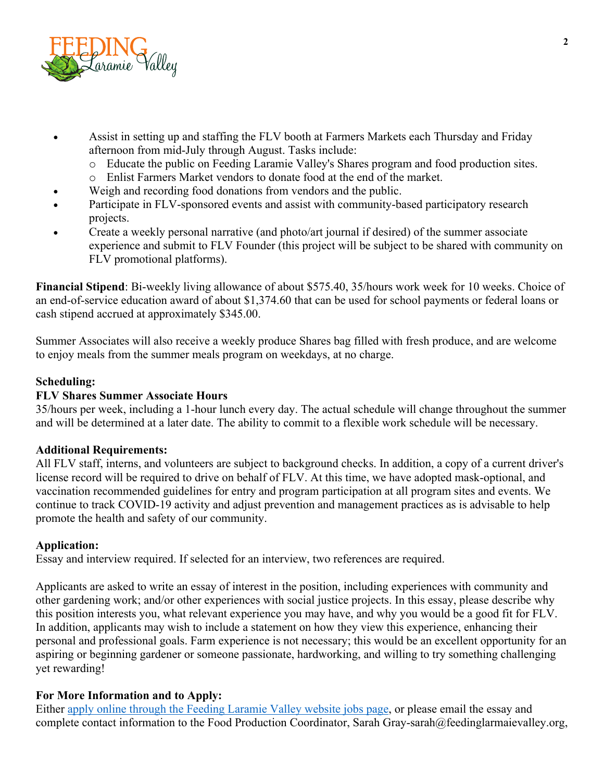

- Assist in setting up and staffing the FLV booth at Farmers Markets each Thursday and Friday afternoon from mid-July through August. Tasks include:
	- o Educate the public on Feeding Laramie Valley's Shares program and food production sites.
	- o Enlist Farmers Market vendors to donate food at the end of the market.
	- Weigh and recording food donations from vendors and the public.
- Participate in FLV-sponsored events and assist with community-based participatory research projects.
- Create a weekly personal narrative (and photo/art journal if desired) of the summer associate experience and submit to FLV Founder (this project will be subject to be shared with community on FLV promotional platforms).

**Financial Stipend**: Bi-weekly living allowance of about \$575.40, 35/hours work week for 10 weeks. Choice of an end-of-service education award of about \$1,374.60 that can be used for school payments or federal loans or cash stipend accrued at approximately \$345.00.

Summer Associates will also receive a weekly produce Shares bag filled with fresh produce, and are welcome to enjoy meals from the summer meals program on weekdays, at no charge.

## **Scheduling:**

#### **FLV Shares Summer Associate Hours**

35/hours per week, including a 1-hour lunch every day. The actual schedule will change throughout the summer and will be determined at a later date. The ability to commit to a flexible work schedule will be necessary.

#### **Additional Requirements:**

All FLV staff, interns, and volunteers are subject to background checks. In addition, a copy of a current driver's license record will be required to drive on behalf of FLV. At this time, we have adopted mask-optional, and vaccination recommended guidelines for entry and program participation at all program sites and events. We continue to track COVID-19 activity and adjust prevention and management practices as is advisable to help promote the health and safety of our community.

## **Application:**

Essay and interview required. If selected for an interview, two references are required.

Applicants are asked to write an essay of interest in the position, including experiences with community and other gardening work; and/or other experiences with social justice projects. In this essay, please describe why this position interests you, what relevant experience you may have, and why you would be a good fit for FLV. In addition, applicants may wish to include a statement on how they view this experience, enhancing their personal and professional goals. Farm experience is not necessary; this would be an excellent opportunity for an aspiring or beginning gardener or someone passionate, hardworking, and willing to try something challenging yet rewarding!

#### **For More Information and to Apply:**

Either apply online through the Feeding Laramie Valley website jobs page, or please email the essay and complete contact information to the Food Production Coordinator, Sarah Gray-sarah@feedinglarmaievalley.org,